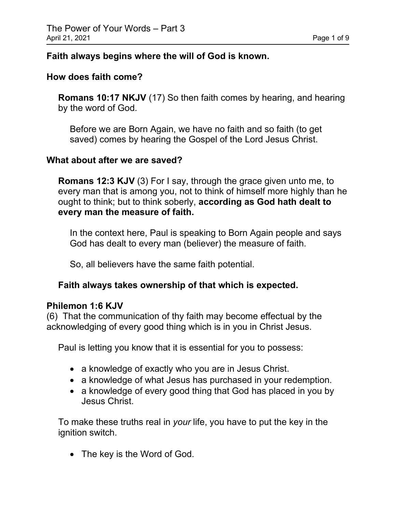#### **Faith always begins where the will of God is known.**

#### **How does faith come?**

**Romans 10:17 NKJV** (17) So then faith comes by hearing, and hearing by the word of God.

Before we are Born Again, we have no faith and so faith (to get saved) comes by hearing the Gospel of the Lord Jesus Christ.

#### **What about after we are saved?**

**Romans 12:3 KJV** (3) For I say, through the grace given unto me, to every man that is among you, not to think of himself more highly than he ought to think; but to think soberly, **according as God hath dealt to every man the measure of faith.**

In the context here, Paul is speaking to Born Again people and says God has dealt to every man (believer) the measure of faith.

So, all believers have the same faith potential.

## **Faith always takes ownership of that which is expected.**

#### **Philemon 1:6 KJV**

(6) That the communication of thy faith may become effectual by the acknowledging of every good thing which is in you in Christ Jesus.

Paul is letting you know that it is essential for you to possess:

- a knowledge of exactly who you are in Jesus Christ.
- a knowledge of what Jesus has purchased in your redemption.
- a knowledge of every good thing that God has placed in you by Jesus Christ.

To make these truths real in *your* life, you have to put the key in the ignition switch.

• The key is the Word of God.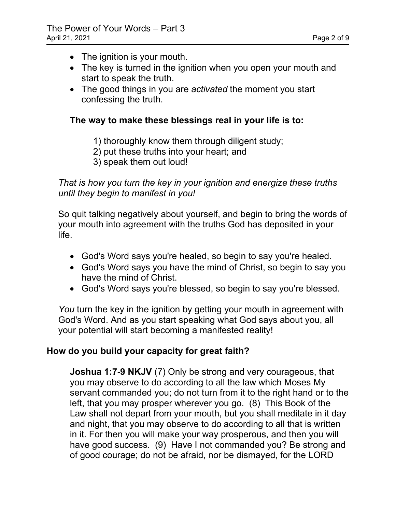- The ignition is your mouth.
- The key is turned in the ignition when you open your mouth and start to speak the truth.
- The good things in you are *activated* the moment you start confessing the truth.

# **The way to make these blessings real in your life is to:**

- 1) thoroughly know them through diligent study;
- 2) put these truths into your heart; and
- 3) speak them out loud!

*That is how you turn the key in your ignition and energize these truths until they begin to manifest in you!*

So quit talking negatively about yourself, and begin to bring the words of your mouth into agreement with the truths God has deposited in your life.

- God's Word says you're healed, so begin to say you're healed.
- God's Word says you have the mind of Christ, so begin to say you have the mind of Christ.
- God's Word says you're blessed, so begin to say you're blessed.

You turn the key in the ignition by getting your mouth in agreement with God's Word. And as you start speaking what God says about you, all your potential will start becoming a manifested reality!

# **How do you build your capacity for great faith?**

**Joshua 1:7-9 NKJV** (7) Only be strong and very courageous, that you may observe to do according to all the law which Moses My servant commanded you; do not turn from it to the right hand or to the left, that you may prosper wherever you go. (8) This Book of the Law shall not depart from your mouth, but you shall meditate in it day and night, that you may observe to do according to all that is written in it. For then you will make your way prosperous, and then you will have good success. (9) Have I not commanded you? Be strong and of good courage; do not be afraid, nor be dismayed, for the LORD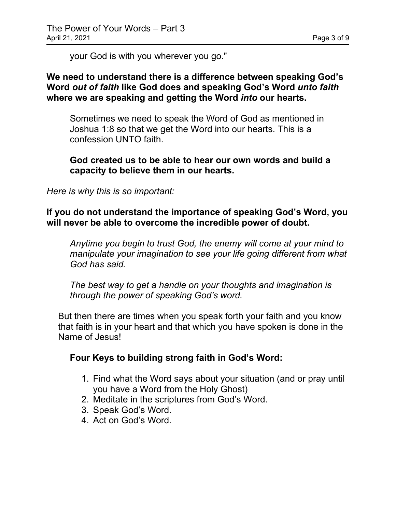your God is with you wherever you go."

#### **We need to understand there is a difference between speaking God's Word** *out of faith* **like God does and speaking God's Word** *unto faith* **where we are speaking and getting the Word** *into* **our hearts.**

Sometimes we need to speak the Word of God as mentioned in Joshua 1:8 so that we get the Word into our hearts. This is a confession UNTO faith.

#### **God created us to be able to hear our own words and build a capacity to believe them in our hearts.**

*Here is why this is so important:*

#### **If you do not understand the importance of speaking God's Word, you will never be able to overcome the incredible power of doubt.**

*Anytime you begin to trust God, the enemy will come at your mind to manipulate your imagination to see your life going different from what God has said.*

*The best way to get a handle on your thoughts and imagination is through the power of speaking God's word.*

But then there are times when you speak forth your faith and you know that faith is in your heart and that which you have spoken is done in the Name of Jesus!

## **Four Keys to building strong faith in God's Word:**

- 1. Find what the Word says about your situation (and or pray until you have a Word from the Holy Ghost)
- 2. Meditate in the scriptures from God's Word.
- 3. Speak God's Word.
- 4. Act on God's Word.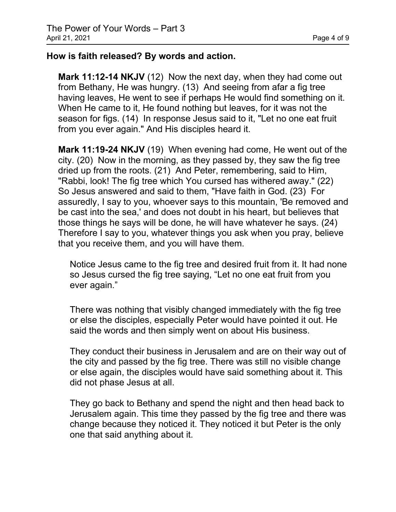## **How is faith released? By words and action.**

**Mark 11:12-14 NKJV** (12) Now the next day, when they had come out from Bethany, He was hungry. (13) And seeing from afar a fig tree having leaves, He went to see if perhaps He would find something on it. When He came to it, He found nothing but leaves, for it was not the season for figs. (14) In response Jesus said to it, "Let no one eat fruit from you ever again." And His disciples heard it.

**Mark 11:19-24 NKJV** (19) When evening had come, He went out of the city. (20) Now in the morning, as they passed by, they saw the fig tree dried up from the roots. (21) And Peter, remembering, said to Him, "Rabbi, look! The fig tree which You cursed has withered away." (22) So Jesus answered and said to them, "Have faith in God. (23) For assuredly, I say to you, whoever says to this mountain, 'Be removed and be cast into the sea,' and does not doubt in his heart, but believes that those things he says will be done, he will have whatever he says. (24) Therefore I say to you, whatever things you ask when you pray, believe that you receive them, and you will have them.

Notice Jesus came to the fig tree and desired fruit from it. It had none so Jesus cursed the fig tree saying, "Let no one eat fruit from you ever again."

There was nothing that visibly changed immediately with the fig tree or else the disciples, especially Peter would have pointed it out. He said the words and then simply went on about His business.

They conduct their business in Jerusalem and are on their way out of the city and passed by the fig tree. There was still no visible change or else again, the disciples would have said something about it. This did not phase Jesus at all.

They go back to Bethany and spend the night and then head back to Jerusalem again. This time they passed by the fig tree and there was change because they noticed it. They noticed it but Peter is the only one that said anything about it.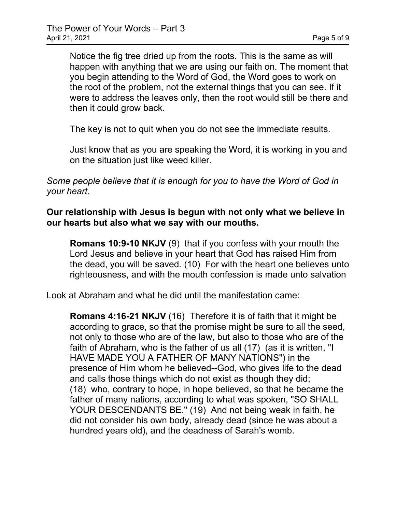Notice the fig tree dried up from the roots. This is the same as will happen with anything that we are using our faith on. The moment that you begin attending to the Word of God, the Word goes to work on the root of the problem, not the external things that you can see. If it were to address the leaves only, then the root would still be there and then it could grow back.

The key is not to quit when you do not see the immediate results.

Just know that as you are speaking the Word, it is working in you and on the situation just like weed killer.

*Some people believe that it is enough for you to have the Word of God in your heart.*

#### **Our relationship with Jesus is begun with not only what we believe in our hearts but also what we say with our mouths.**

**Romans 10:9-10 NKJV** (9) that if you confess with your mouth the Lord Jesus and believe in your heart that God has raised Him from the dead, you will be saved. (10) For with the heart one believes unto righteousness, and with the mouth confession is made unto salvation

Look at Abraham and what he did until the manifestation came:

**Romans 4:16-21 NKJV** (16) Therefore it is of faith that it might be according to grace, so that the promise might be sure to all the seed, not only to those who are of the law, but also to those who are of the faith of Abraham, who is the father of us all (17) (as it is written, "I HAVE MADE YOU A FATHER OF MANY NATIONS") in the presence of Him whom he believed--God, who gives life to the dead and calls those things which do not exist as though they did; (18) who, contrary to hope, in hope believed, so that he became the father of many nations, according to what was spoken, "SO SHALL YOUR DESCENDANTS BE." (19) And not being weak in faith, he did not consider his own body, already dead (since he was about a hundred years old), and the deadness of Sarah's womb.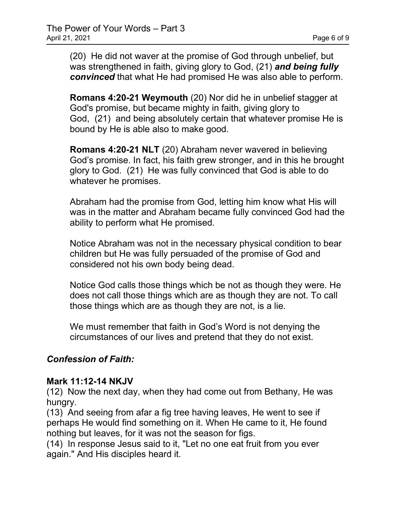(20) He did not waver at the promise of God through unbelief, but was strengthened in faith, giving glory to God, (21) *and being fully convinced* that what He had promised He was also able to perform.

**Romans 4:20-21 Weymouth** (20) Nor did he in unbelief stagger at God's promise, but became mighty in faith, giving glory to God, (21) and being absolutely certain that whatever promise He is bound by He is able also to make good.

**Romans 4:20-21 NLT** (20) Abraham never wavered in believing God's promise. In fact, his faith grew stronger, and in this he brought glory to God. (21) He was fully convinced that God is able to do whatever he promises.

Abraham had the promise from God, letting him know what His will was in the matter and Abraham became fully convinced God had the ability to perform what He promised.

Notice Abraham was not in the necessary physical condition to bear children but He was fully persuaded of the promise of God and considered not his own body being dead.

Notice God calls those things which be not as though they were. He does not call those things which are as though they are not. To call those things which are as though they are not, is a lie.

We must remember that faith in God's Word is not denying the circumstances of our lives and pretend that they do not exist.

## *Confession of Faith:*

#### **Mark 11:12-14 NKJV**

(12) Now the next day, when they had come out from Bethany, He was hungry.

(13) And seeing from afar a fig tree having leaves, He went to see if perhaps He would find something on it. When He came to it, He found nothing but leaves, for it was not the season for figs.

(14) In response Jesus said to it, "Let no one eat fruit from you ever again." And His disciples heard it.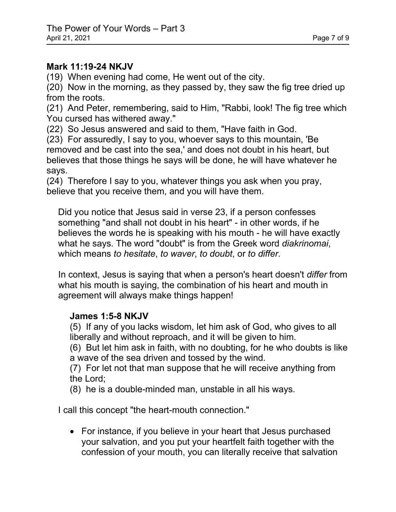#### **Mark 11:19-24 NKJV**

(19) When evening had come, He went out of the city.

(20) Now in the morning, as they passed by, they saw the fig tree dried up from the roots.

(21) And Peter, remembering, said to Him, "Rabbi, look! The fig tree which You cursed has withered away."

(22) So Jesus answered and said to them, "Have faith in God.

(23) For assuredly, I say to you, whoever says to this mountain, 'Be removed and be cast into the sea,' and does not doubt in his heart, but believes that those things he says will be done, he will have whatever he says.

(24) Therefore I say to you, whatever things you ask when you pray, believe that you receive them, and you will have them.

Did you notice that Jesus said in verse 23, if a person confesses something "and shall not doubt in his heart" - in other words, if he believes the words he is speaking with his mouth - he will have exactly what he says. The word "doubt" is from the Greek word *diakrinomai*, which means *to hesitate*, *to waver*, *to doubt*, or *to differ*.

In context, Jesus is saying that when a person's heart doesn't *differ* from what his mouth is saying, the combination of his heart and mouth in agreement will always make things happen!

## **James 1:5-8 NKJV**

(5) If any of you lacks wisdom, let him ask of God, who gives to all liberally and without reproach, and it will be given to him.

(6) But let him ask in faith, with no doubting, for he who doubts is like a wave of the sea driven and tossed by the wind.

(7) For let not that man suppose that he will receive anything from the Lord;

(8) he is a double-minded man, unstable in all his ways.

I call this concept "the heart-mouth connection."

• For instance, if you believe in your heart that Jesus purchased your salvation, and you put your heartfelt faith together with the confession of your mouth, you can literally receive that salvation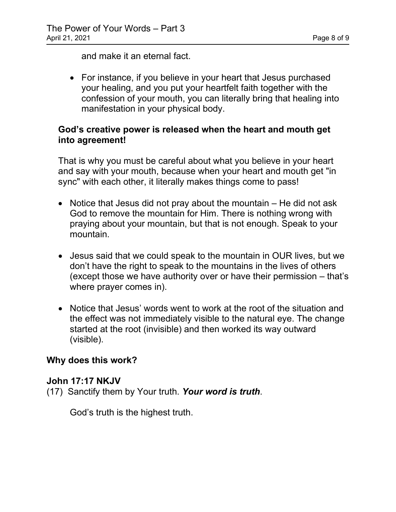and make it an eternal fact.

• For instance, if you believe in your heart that Jesus purchased your healing, and you put your heartfelt faith together with the confession of your mouth, you can literally bring that healing into manifestation in your physical body.

## **God's creative power is released when the heart and mouth get into agreement!**

That is why you must be careful about what you believe in your heart and say with your mouth, because when your heart and mouth get "in sync" with each other, it literally makes things come to pass!

- Notice that Jesus did not pray about the mountain He did not ask God to remove the mountain for Him. There is nothing wrong with praying about your mountain, but that is not enough. Speak to your mountain.
- Jesus said that we could speak to the mountain in OUR lives, but we don't have the right to speak to the mountains in the lives of others (except those we have authority over or have their permission – that's where prayer comes in).
- Notice that Jesus' words went to work at the root of the situation and the effect was not immediately visible to the natural eye. The change started at the root (invisible) and then worked its way outward (visible).

# **Why does this work?**

## **John 17:17 NKJV**

(17) Sanctify them by Your truth. *Your word is truth*.

God's truth is the highest truth.